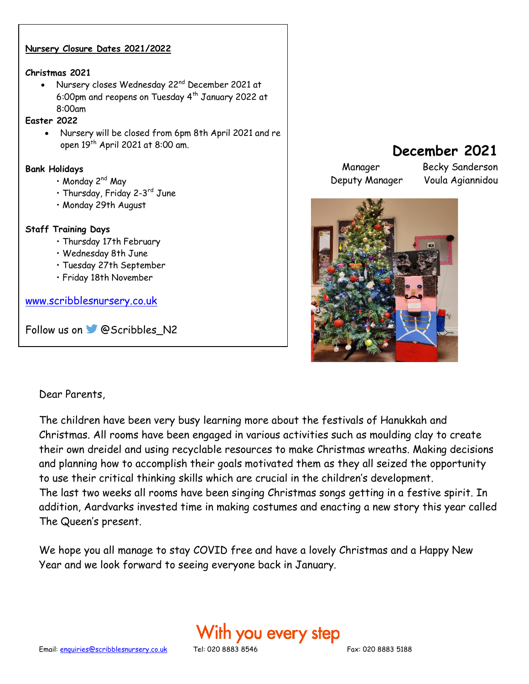### **Nursery Closure Dates 2021/2022**

#### **Christmas 2021**

• Nursery closes Wednesday 22nd December 2021 at 6:00pm and reopens on Tuesday 4th January 2022 at 8:00am

### **Easter 2022**

 $\overline{a}$ 

• Nursery will be closed from 6pm 8th April 2021 and re open 19th April 2021 at 8:00 am.

#### **Bank Holidays**

- Monday 2<sup>nd</sup> May
- Thursday, Friday 2-3<sup>rd</sup> June
- Monday 29th August

### **Staff Training Days**

- Thursday 17th February
- Wednesday 8th June
- Tuesday 27th September
- Friday 18th November

[www.scribblesnursery.co.uk](http://www.scribblesnursery.co.uk/)

Followus on **@Scribbles\_N2** 

# **December 2021**

Deputy Manager Voula Agiannidou

Manager Becky Sanderson



### Dear Parents,

The children have been very busy learning more about the festivals of Hanukkah and Christmas. All rooms have been engaged in various activities such as moulding clay to create their own dreidel and using recyclable resources to make Christmas wreaths. Making decisions and planning how to accomplish their goals motivated them as they all seized the opportunity to use their critical thinking skills which are crucial in the children's development. The last two weeks all rooms have been singing Christmas songs getting in a festive spirit. In addition, Aardvarks invested time in making costumes and enacting a new story this year called The Queen's present.

We hope you all manage to stay COVID free and have a lovely Christmas and a Happy New Year and we look forward to seeing everyone back in January.

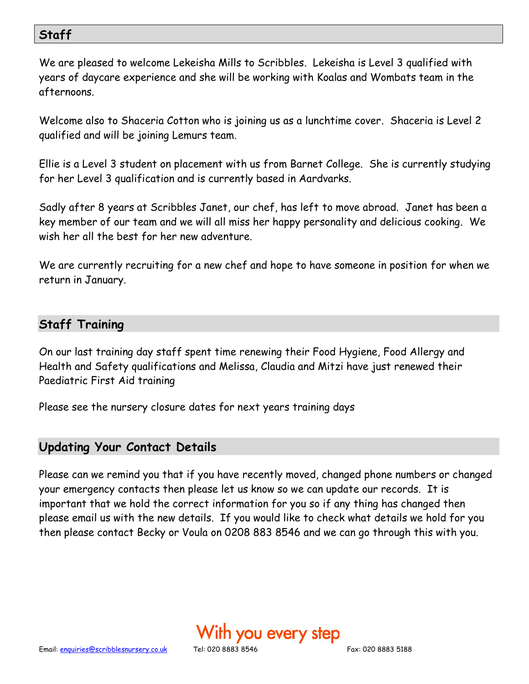# **Staff**

We are pleased to welcome Lekeisha Mills to Scribbles. Lekeisha is Level 3 qualified with years of daycare experience and she will be working with Koalas and Wombats team in the afternoons.

Welcome also to Shaceria Cotton who is joining us as a lunchtime cover. Shaceria is Level 2 qualified and will be joining Lemurs team.

Ellie is a Level 3 student on placement with us from Barnet College. She is currently studying for her Level 3 qualification and is currently based in Aardvarks.

Sadly after 8 years at Scribbles Janet, our chef, has left to move abroad. Janet has been a key member of our team and we will all miss her happy personality and delicious cooking. We wish her all the best for her new adventure.

We are currently recruiting for a new chef and hope to have someone in position for when we return in January.

# **Staff Training**

On our last training day staff spent time renewing their Food Hygiene, Food Allergy and Health and Safety qualifications and Melissa, Claudia and Mitzi have just renewed their Paediatric First Aid training

Please see the nursery closure dates for next years training days

### **Updating Your Contact Details**

Please can we remind you that if you have recently moved, changed phone numbers or changed your emergency contacts then please let us know so we can update our records. It is important that we hold the correct information for you so if any thing has changed then please email us with the new details. If you would like to check what details we hold for you then please contact Becky or Voula on 0208 883 8546 and we can go through this with you.